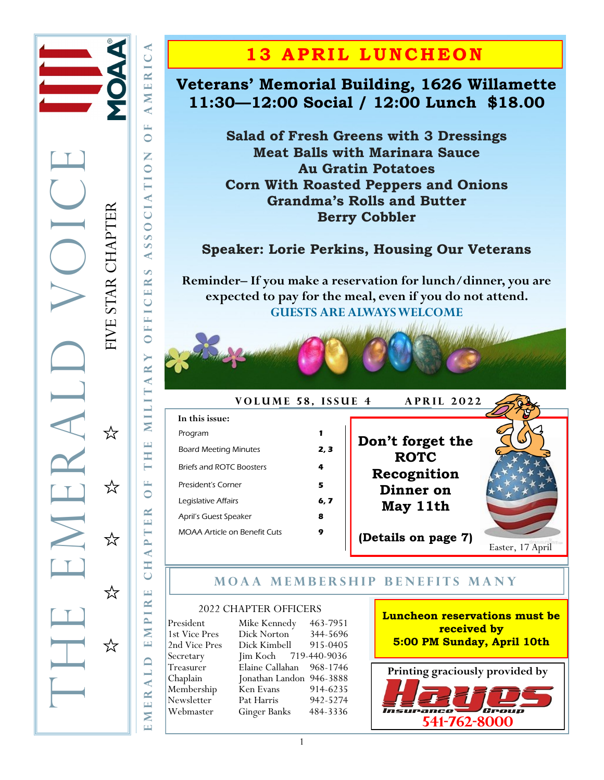

EMERALD EMPIRE CHAPTER OF THE MILITARY OFFICERS ASSOCIATION OF AMERICA

MILITARY

 $\mathbf{\Xi}$ H  $\mapsto$ <u>щ</u>

 $\bigcirc$  $\mathbf{r}$ PTEI

 $\overline{\mathbf{A}}$ CH.

 $\mathbf{\Xi}$ 

**PIR** 

 $\overline{\mathbf{z}}$ Ë

**ALD** 

ER.  $\geq$ 

OFFI

MERICA

 $\prec$  $\mathbf{L}$  $\bigcirc$ Z

**OCIATIO** 

 $\mathbf{v}$  $\bullet$  $\blacktriangleleft$  $\Omega$  $\mathbf{r}$ **CEI** 

## **13 APRIL LUNCHEON**

### **Veterans' Memorial Building, 1626 Willamette 11:30—12:00 Social / 12:00 Lunch \$18.00**

**Salad of Fresh Greens with 3 Dressings Meat Balls with Marinara Sauce Au Gratin Potatoes Corn With Roasted Peppers and Onions Grandma's Rolls and Butter Berry Cobbler**

### **Speaker: Lorie Perkins, Housing Our Veterans**

**Reminder– If you make a reservation for lunch/dinner, you are expected to pay for the meal, even if you do not attend. GUESTS ARE ALWAYS WELCOME**



**VOLUME 58, ISSUE 4 APRIL 2022** 

**In this issue:**  Program **1** Board Meeting Minutes **2, 3**  Briefs and ROTC Boosters **4** President's Corner **5** Legislative Affairs **6, 7** April's Guest Speaker **8** MOAA Article on Benefit Cuts **9**

### **Don't forget the ROTC Recognition Dinner on May 11th**

**(Details on page 7)**

Easter, 17 April

### **MOAA MEMBERSHIP BENEFITS MANY**

#### 2022 CHAPTER OFFICERS

| President     | Mike Kennedy             | 463-7951 |
|---------------|--------------------------|----------|
| 1st Vice Pres | Dick Norton              | 344-5696 |
| 2nd Vice Pres | Dick Kimbell             | 915-0405 |
| Secretary     | Jim Koch 719-440-9036    |          |
| Treasurer     | Elaine Callahan          | 968-1746 |
| Chaplain      | Jonathan Landon 946-3888 |          |
| Membership    | Ken Evans                | 914-6235 |
| Newsletter    | Pat Harris               | 942-5274 |
| Webmaster     | <b>Ginger Banks</b>      | 484-3336 |
|               |                          |          |



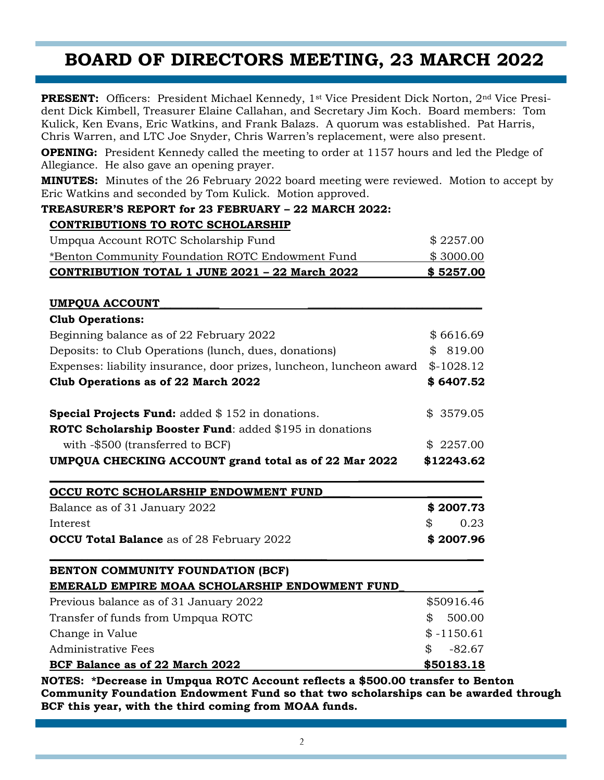## **BOARD OF DIRECTORS MEETING, 23 MARCH 2022**

**PRESENT:** Officers: President Michael Kennedy, 1<sup>st</sup> Vice President Dick Norton, 2<sup>nd</sup> Vice President Dick Kimbell, Treasurer Elaine Callahan, and Secretary Jim Koch. Board members: Tom Kulick, Ken Evans, Eric Watkins, and Frank Balazs. A quorum was established. Pat Harris, Chris Warren, and LTC Joe Snyder, Chris Warren's replacement, were also present.

**OPENING:** President Kennedy called the meeting to order at 1157 hours and led the Pledge of Allegiance. He also gave an opening prayer.

**MINUTES:** Minutes of the 26 February 2022 board meeting were reviewed. Motion to accept by Eric Watkins and seconded by Tom Kulick. Motion approved.

#### **TREASURER'S REPORT for 23 FEBRUARY – 22 MARCH 2022:**

#### **CONTRIBUTIONS TO ROTC SCHOLARSHIP**

| CONTRIBUTION TOTAL 1 JUNE 2021 - 22 March 2022   | \$5257.00 |
|--------------------------------------------------|-----------|
| *Benton Community Foundation ROTC Endowment Fund | \$3000.00 |
| Umpqua Account ROTC Scholarship Fund             | \$2257.00 |

#### UMPOUA ACCOUNT

| <b>Club Operations:</b>                                                                                                                                                           |                   |  |  |                                                                |           |
|-----------------------------------------------------------------------------------------------------------------------------------------------------------------------------------|-------------------|--|--|----------------------------------------------------------------|-----------|
| Beginning balance as of 22 February 2022                                                                                                                                          | \$6616.69         |  |  |                                                                |           |
| Deposits: to Club Operations (lunch, dues, donations)<br>Expenses: liability insurance, door prizes, luncheon, luncheon award<br>\$6407.52<br>Club Operations as of 22 March 2022 |                   |  |  |                                                                |           |
|                                                                                                                                                                                   |                   |  |  | <b>Special Projects Fund:</b> added $$152$ in donations.       | \$3579.05 |
|                                                                                                                                                                                   |                   |  |  | <b>ROTC Scholarship Booster Fund:</b> added \$195 in donations |           |
| with -\$500 (transferred to BCF)                                                                                                                                                  | 2257.00<br>S.     |  |  |                                                                |           |
| UMPQUA CHECKING ACCOUNT grand total as of 22 Mar 2022                                                                                                                             | \$12243.62        |  |  |                                                                |           |
| OCCU ROTC SCHOLARSHIP ENDOWMENT FUND                                                                                                                                              |                   |  |  |                                                                |           |
| Balance as of 31 January 2022                                                                                                                                                     | \$2007.73         |  |  |                                                                |           |
| Interest                                                                                                                                                                          | 0.23<br>\$        |  |  |                                                                |           |
| <b>OCCU Total Balance</b> as of 28 February 2022                                                                                                                                  | \$2007.96         |  |  |                                                                |           |
| BENTON COMMUNITY FOUNDATION (BCF)                                                                                                                                                 |                   |  |  |                                                                |           |
| EMERALD EMPIRE MOAA SCHOLARSHIP ENDOWMENT FUND                                                                                                                                    |                   |  |  |                                                                |           |
| Previous balance as of 31 January 2022                                                                                                                                            | \$50916.46        |  |  |                                                                |           |
| Transfer of funds from Umpqua ROTC                                                                                                                                                | 500.00<br>\$      |  |  |                                                                |           |
| Change in Value                                                                                                                                                                   | $$ -1150.61$      |  |  |                                                                |           |
| Administrative Fees                                                                                                                                                               | $-82.67$<br>\$    |  |  |                                                                |           |
| <b>BCF Balance as of 22 March 2022</b>                                                                                                                                            | <u>\$50183.18</u> |  |  |                                                                |           |

**NOTES: \*Decrease in Umpqua ROTC Account reflects a \$500.00 transfer to Benton Community Foundation Endowment Fund so that two scholarships can be awarded through BCF this year, with the third coming from MOAA funds.**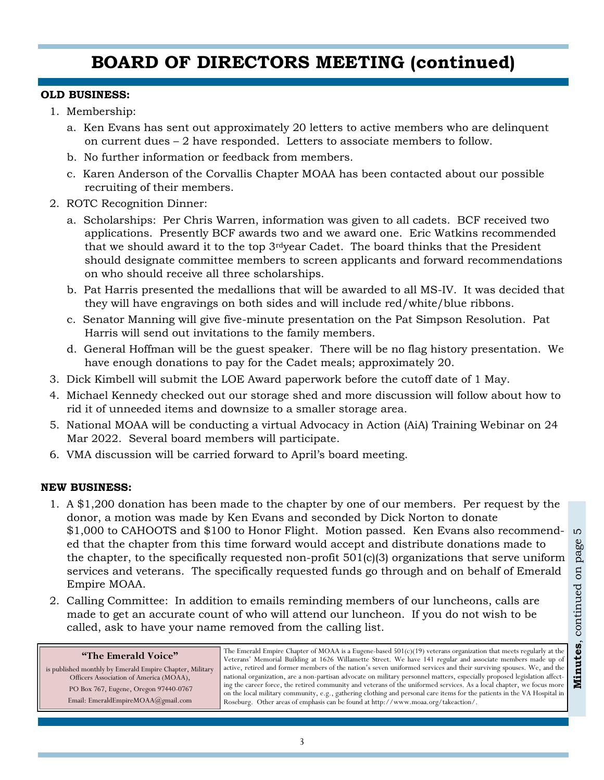## **BOARD OF DIRECTORS MEETING (continued)**

#### **OLD BUSINESS:**

- 1. Membership:
	- a. Ken Evans has sent out approximately 20 letters to active members who are delinquent on current dues – 2 have responded. Letters to associate members to follow.
	- b. No further information or feedback from members.
	- c. Karen Anderson of the Corvallis Chapter MOAA has been contacted about our possible recruiting of their members.
- 2. ROTC Recognition Dinner:
	- a. Scholarships: Per Chris Warren, information was given to all cadets. BCF received two applications. Presently BCF awards two and we award one. Eric Watkins recommended that we should award it to the top  $3^{rd}$ year Cadet. The board thinks that the President should designate committee members to screen applicants and forward recommendations on who should receive all three scholarships.
	- b. Pat Harris presented the medallions that will be awarded to all MS-IV. It was decided that they will have engravings on both sides and will include red/white/blue ribbons.
	- c. Senator Manning will give five-minute presentation on the Pat Simpson Resolution. Pat Harris will send out invitations to the family members.
	- d. General Hoffman will be the guest speaker. There will be no flag history presentation. We have enough donations to pay for the Cadet meals; approximately 20.
- 3. Dick Kimbell will submit the LOE Award paperwork before the cutoff date of 1 May.
- 4. Michael Kennedy checked out our storage shed and more discussion will follow about how to rid it of unneeded items and downsize to a smaller storage area.
- 5. National MOAA will be conducting a virtual Advocacy in Action (AiA) Training Webinar on 24 Mar 2022. Several board members will participate.
- 6. VMA discussion will be carried forward to April's board meeting.

#### **NEW BUSINESS:**

- 1. A \$1,200 donation has been made to the chapter by one of our members. Per request by the donor, a motion was made by Ken Evans and seconded by Dick Norton to donate \$1,000 to CAHOOTS and \$100 to Honor Flight. Motion passed. Ken Evans also recommended that the chapter from this time forward would accept and distribute donations made to the chapter, to the specifically requested non-profit 501(c)(3) organizations that serve uniform services and veterans. The specifically requested funds go through and on behalf of Emerald Empire MOAA.
- 2. Calling Committee: In addition to emails reminding members of our luncheons, calls are made to get an accurate count of who will attend our luncheon. If you do not wish to be called, ask to have your name removed from the calling list.

| "The Emerald Voice"                                      | The Emerald Empire Chapter of MOAA is a Eugene-based $501(c)(19)$ veterans organization that meets regularly at the<br>Veterans' Memorial Building at 1626 Willamette Street. We have 141 regular and associate members made up of                |
|----------------------------------------------------------|---------------------------------------------------------------------------------------------------------------------------------------------------------------------------------------------------------------------------------------------------|
| is published monthly by Emerald Empire Chapter, Military | active, retired and former members of the nation's seven uniformed services and their surviving spouses. We, and the                                                                                                                              |
| Officers Association of America (MOAA),                  | national organization, are a non-partisan advocate on military personnel matters, especially proposed legislation affect-                                                                                                                         |
| PO Box 767, Eugene, Oregon 97440-0767                    | ing the career force, the retired community and veterans of the uniformed services. As a local chapter, we focus more<br>on the local military community, e.g., gathering clothing and personal care items for the patients in the VA Hospital in |
| Email: EmeraldEmpireMOAA@gmail.com                       | Roseburg. Other areas of emphasis can be found at http://www.moaa.org/takeaction/.                                                                                                                                                                |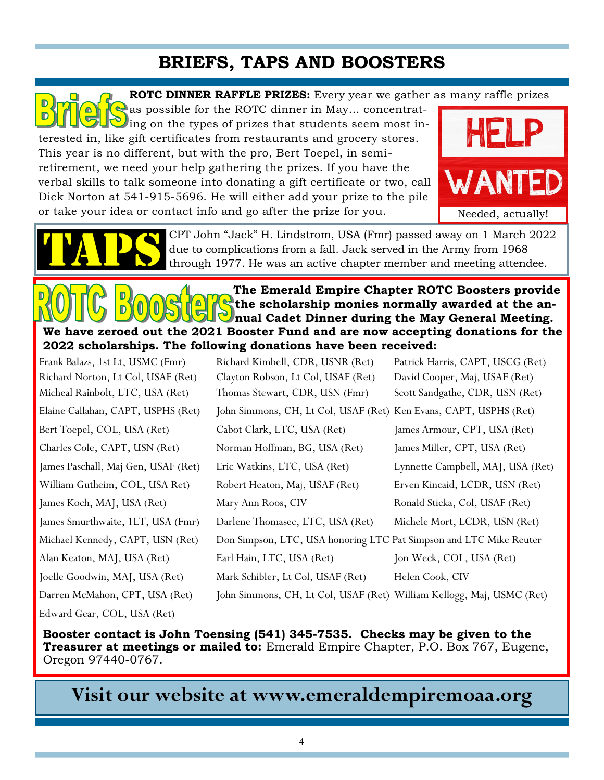# **BRIEFS, TAPS AND BOOSTERS**

**ROTC DINNER RAFFLE PRIZES:** Every year we gather as many raffle prizes as possible for the ROTC dinner in May... concentrating on the types of prizes that students seem most interested in, like gift certificates from restaurants and grocery stores. This year is no different, but with the pro, Bert Toepel, in semiretirement, we need your help gathering the prizes. If you have the verbal skills to talk someone into donating a gift certificate or two, call Dick Norton at 541-915-5696. He will either add your prize to the pile or take your idea or contact info and go after the prize for you.



CPT John "Jack" H. Lindstrom, USA (Fmr) passed away on 1 March 2022 due to complications from a fall. Jack served in the Army from 1968 through 1977. He was an active chapter member and meeting attendee.

### **The Emerald Empire Chapter ROTC Boosters provide the scholarship monies normally awarded at the annual Cadet Dinner during the May General Meeting. We have zeroed out the 2021 Booster Fund and are now accepting donations for the 2022 scholarships. The following donations have been received:**

| Frank Balazs, 1st Lt, USMC (Fmr)    | Richard Kimbell, CDR, USNR (Ret)                                      | Patrick Harris, CAPT, USCG (Ret)  |
|-------------------------------------|-----------------------------------------------------------------------|-----------------------------------|
| Richard Norton, Lt Col, USAF (Ret)  | Clayton Robson, Lt Col, USAF (Ret)                                    | David Cooper, Maj, USAF (Ret)     |
| Micheal Rainbolt, LTC, USA (Ret)    | Thomas Stewart, CDR, USN (Fmr)                                        | Scott Sandgathe, CDR, USN (Ret)   |
| Elaine Callahan, CAPT, USPHS (Ret)  | John Simmons, CH, Lt Col, USAF (Ret) Ken Evans, CAPT, USPHS (Ret)     |                                   |
| Bert Toepel, COL, USA (Ret)         | Cabot Clark, LTC, USA (Ret)                                           | James Armour, CPT, USA (Ret)      |
| Charles Cole, CAPT, USN (Ret)       | Norman Hoffman, BG, USA (Ret)                                         | James Miller, CPT, USA (Ret)      |
| James Paschall, Maj Gen, USAF (Ret) | Eric Watkins, LTC, USA (Ret)                                          | Lynnette Campbell, MAJ, USA (Ret) |
| William Gutheim, COL, USA Ret)      | Robert Heaton, Maj, USAF (Ret)                                        | Erven Kincaid, LCDR, USN (Ret)    |
| James Koch, MAJ, USA (Ret)          | Mary Ann Roos, CIV                                                    | Ronald Sticka, Col, USAF (Ret)    |
| James Smurthwaite, 1LT, USA (Fmr)   | Darlene Thomasec, LTC, USA (Ret)                                      | Michele Mort, LCDR, USN (Ret)     |
| Michael Kennedy, CAPT, USN (Ret)    | Don Simpson, LTC, USA honoring LTC Pat Simpson and LTC Mike Reuter    |                                   |
| Alan Keaton, MAJ, USA (Ret)         | Earl Hain, LTC, USA (Ret)                                             | Jon Weck, COL, USA (Ret)          |
| Joelle Goodwin, MAJ, USA (Ret)      | Mark Schibler, Lt Col, USAF (Ret)                                     | Helen Cook, CIV                   |
| Darren McMahon, CPT, USA (Ret)      | John Simmons, CH, Lt Col, USAF (Ret) William Kellogg, Maj, USMC (Ret) |                                   |
| Edward Gear, COL, USA (Ret)         |                                                                       |                                   |

**Booster contact is John Toensing (541) 345-7535. Checks may be given to the Treasurer at meetings or mailed to:** Emerald Empire Chapter, P.O. Box 767, Eugene, Oregon 97440-0767.

# **Visit our website at www.emeraldempiremoaa.org**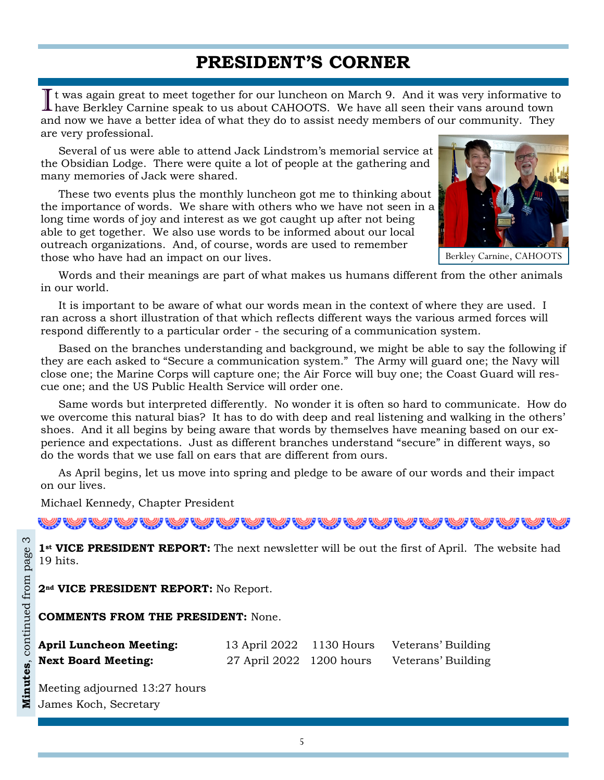## **PRESIDENT'S CORNER**

It was again great to meet together for our luncheon on March 9. And it was very informative to have Berkley Carnine speak to us about CAHOOTS. We have all seen their vans around town t was again great to meet together for our luncheon on March 9. And it was very informative to and now we have a better idea of what they do to assist needy members of our community. They are very professional.

Several of us were able to attend Jack Lindstrom's memorial service at the Obsidian Lodge. There were quite a lot of people at the gathering and many memories of Jack were shared.

These two events plus the monthly luncheon got me to thinking about the importance of words. We share with others who we have not seen in a long time words of joy and interest as we got caught up after not being able to get together. We also use words to be informed about our local outreach organizations. And, of course, words are used to remember those who have had an impact on our lives.



Berkley Carnine, CAHOOTS

Words and their meanings are part of what makes us humans different from the other animals in our world.

It is important to be aware of what our words mean in the context of where they are used. I ran across a short illustration of that which reflects different ways the various armed forces will respond differently to a particular order - the securing of a communication system.

Based on the branches understanding and background, we might be able to say the following if they are each asked to "Secure a communication system." The Army will guard one; the Navy will close one; the Marine Corps will capture one; the Air Force will buy one; the Coast Guard will rescue one; and the US Public Health Service will order one.

Same words but interpreted differently. No wonder it is often so hard to communicate. How do we overcome this natural bias? It has to do with deep and real listening and walking in the others' shoes. And it all begins by being aware that words by themselves have meaning based on our experience and expectations. Just as different branches understand "secure" in different ways, so do the words that we use fall on ears that are different from ours.

As April begins, let us move into spring and pledge to be aware of our words and their impact on our lives.

Michael Kennedy, Chapter President

<u>the first form for the state of the first form of the state of the state of the state of the state of the state of the state of the state of the state of the state of the state of the state of the state of the state of th</u>

**1st VICE PRESIDENT REPORT:** The next newsletter will be out the first of April. The website had 19 hits.

**2nd VICE PRESIDENT REPORT:** No Report.

#### **COMMENTS FROM THE PRESIDENT:** None.

| <b>April Luncheon Meeting:</b> |                          | 13 April 2022 1130 Hours Veterans' Building |
|--------------------------------|--------------------------|---------------------------------------------|
| <b>Next Board Meeting:</b>     | 27 April 2022 1200 hours | Veterans' Building                          |

Meeting adjourned 13:27 hours James Koch, Secretary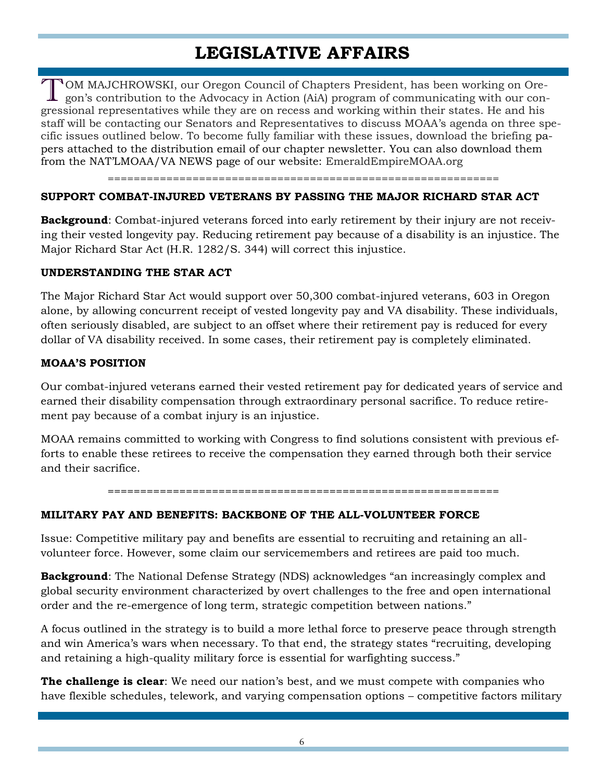# **LEGISLATIVE AFFAIRS**

TOM MAJCHROWSKI, our Oregon Council of Chapters President, has been working on Oregon's contribution to the Advocacy in Action (AiA) program of communicating with our con-OM MAJCHROWSKI, our Oregon Council of Chapters President, has been working on Oregressional representatives while they are on recess and working within their states. He and his staff will be contacting our Senators and Representatives to discuss MOAA's agenda on three specific issues outlined below. To become fully familiar with these issues, download the briefing papers attached to the distribution email of our chapter newsletter. You can also download them from the NAT'LMOAA/VA NEWS page of our website: EmeraldEmpireMOAA.org

============================================================

#### **SUPPORT COMBAT-INJURED VETERANS BY PASSING THE MAJOR RICHARD STAR ACT**

**Background**: Combat-injured veterans forced into early retirement by their injury are not receiving their vested longevity pay. Reducing retirement pay because of a disability is an injustice. The Major Richard Star Act (H.R. 1282/S. 344) will correct this injustice.

#### **UNDERSTANDING THE STAR ACT**

The Major Richard Star Act would support over 50,300 combat-injured veterans, 603 in Oregon alone, by allowing concurrent receipt of vested longevity pay and VA disability. These individuals, often seriously disabled, are subject to an offset where their retirement pay is reduced for every dollar of VA disability received. In some cases, their retirement pay is completely eliminated.

#### **MOAA'S POSITION**

Our combat-injured veterans earned their vested retirement pay for dedicated years of service and earned their disability compensation through extraordinary personal sacrifice. To reduce retirement pay because of a combat injury is an injustice.

MOAA remains committed to working with Congress to find solutions consistent with previous efforts to enable these retirees to receive the compensation they earned through both their service and their sacrifice.

============================================================

#### **MILITARY PAY AND BENEFITS: BACKBONE OF THE ALL-VOLUNTEER FORCE**

Issue: Competitive military pay and benefits are essential to recruiting and retaining an allvolunteer force. However, some claim our servicemembers and retirees are paid too much.

**Background**: The National Defense Strategy (NDS) acknowledges "an increasingly complex and global security environment characterized by overt challenges to the free and open international order and the re-emergence of long term, strategic competition between nations."

A focus outlined in the strategy is to build a more lethal force to preserve peace through strength and win America's wars when necessary. To that end, the strategy states "recruiting, developing and retaining a high-quality military force is essential for warfighting success."

**The challenge is clear**: We need our nation's best, and we must compete with companies who have flexible schedules, telework, and varying compensation options – competitive factors military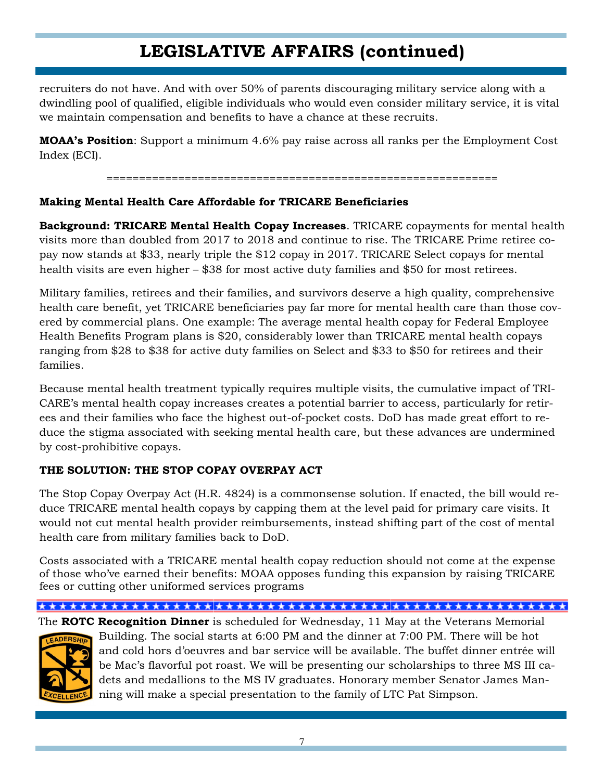# **LEGISLATIVE AFFAIRS (continued)**

recruiters do not have. And with over 50% of parents discouraging military service along with a dwindling pool of qualified, eligible individuals who would even consider military service, it is vital we maintain compensation and benefits to have a chance at these recruits.

**MOAA's Position**: Support a minimum 4.6% pay raise across all ranks per the Employment Cost Index (ECI).

============================================================

### **Making Mental Health Care Affordable for TRICARE Beneficiaries**

**Background: TRICARE Mental Health Copay Increases**. TRICARE copayments for mental health visits more than doubled from 2017 to 2018 and continue to rise. The TRICARE Prime retiree copay now stands at \$33, nearly triple the \$12 copay in 2017. TRICARE Select copays for mental health visits are even higher – \$38 for most active duty families and \$50 for most retirees.

Military families, retirees and their families, and survivors deserve a high quality, comprehensive health care benefit, yet TRICARE beneficiaries pay far more for mental health care than those covered by commercial plans. One example: The average mental health copay for Federal Employee Health Benefits Program plans is \$20, considerably lower than TRICARE mental health copays ranging from \$28 to \$38 for active duty families on Select and \$33 to \$50 for retirees and their families.

Because mental health treatment typically requires multiple visits, the cumulative impact of TRI-CARE's mental health copay increases creates a potential barrier to access, particularly for retirees and their families who face the highest out-of-pocket costs. DoD has made great effort to reduce the stigma associated with seeking mental health care, but these advances are undermined by cost-prohibitive copays.

### **THE SOLUTION: THE STOP COPAY OVERPAY ACT**

The Stop Copay Overpay Act (H.R. 4824) is a commonsense solution. If enacted, the bill would reduce TRICARE mental health copays by capping them at the level paid for primary care visits. It would not cut mental health provider reimbursements, instead shifting part of the cost of mental health care from military families back to DoD.

Costs associated with a TRICARE mental health copay reduction should not come at the expense of those who've earned their benefits: MOAA opposes funding this expansion by raising TRICARE fees or cutting other uniformed services programs

#### 

The **ROTC Recognition Dinner** is scheduled for Wednesday, 11 May at the Veterans Memorial



Building. The social starts at 6:00 PM and the dinner at 7:00 PM. There will be hot and cold hors d'oeuvres and bar service will be available. The buffet dinner entrée will be Mac's flavorful pot roast. We will be presenting our scholarships to three MS III cadets and medallions to the MS IV graduates. Honorary member Senator James Manning will make a special presentation to the family of LTC Pat Simpson.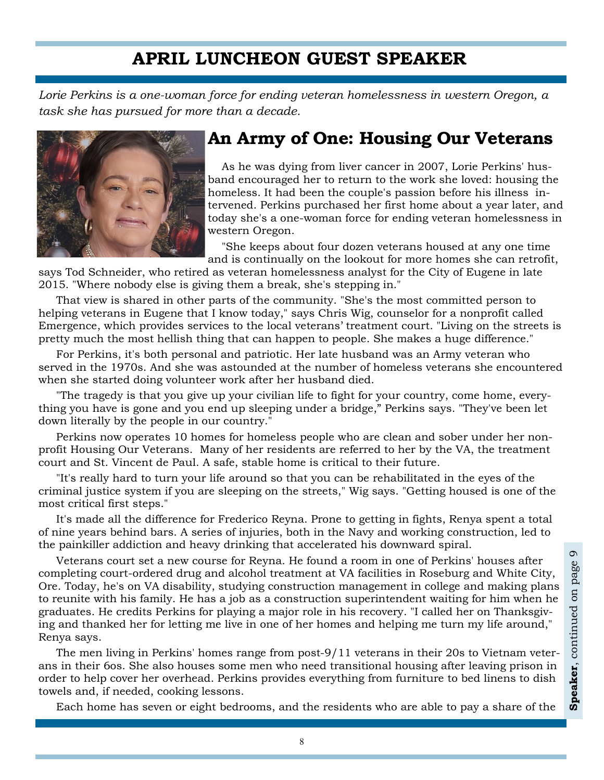## **APRIL LUNCHEON GUEST SPEAKER**

*Lorie Perkins is a one-woman force for ending veteran homelessness in western Oregon, a task she has pursued for more than a decade.*



## **An Army of One: Housing Our Veterans**

 As he was dying from liver cancer in 2007, Lorie Perkins' husband encouraged her to return to the work she loved: housing the homeless. It had been the couple's passion before his illness intervened. Perkins purchased her first home about a year later, and today she's a one-woman force for ending veteran homelessness in western Oregon.

 "She keeps about four dozen veterans housed at any one time and is continually on the lookout for more homes she can retrofit,

says Tod Schneider, who retired as veteran homelessness analyst for the City of Eugene in late 2015. "Where nobody else is giving them a break, she's stepping in."

That view is shared in other parts of the community. "She's the most committed person to helping veterans in Eugene that I know today," says Chris Wig, counselor for a nonprofit called Emergence, which provides services to the local veterans' treatment court. "Living on the streets is pretty much the most hellish thing that can happen to people. She makes a huge difference."

For Perkins, it's both personal and patriotic. Her late husband was an Army veteran who served in the 1970s. And she was astounded at the number of homeless veterans she encountered when she started doing volunteer work after her husband died.

"The tragedy is that you give up your civilian life to fight for your country, come home, everything you have is gone and you end up sleeping under a bridge," Perkins says. "They've been let down literally by the people in our country."

Perkins now operates 10 homes for homeless people who are clean and sober under her nonprofit Housing Our Veterans. Many of her residents are referred to her by the VA, the treatment court and St. Vincent de Paul. A safe, stable home is critical to their future.

"It's really hard to turn your life around so that you can be rehabilitated in the eyes of the criminal justice system if you are sleeping on the streets," Wig says. "Getting housed is one of the most critical first steps."

It's made all the difference for Frederico Reyna. Prone to getting in fights, Renya spent a total of nine years behind bars. A series of injuries, both in the Navy and working construction, led to the painkiller addiction and heavy drinking that accelerated his downward spiral.

Veterans court set a new course for Reyna. He found a room in one of Perkins' houses after completing court-ordered drug and alcohol treatment at VA facilities in Roseburg and White City, Ore. Today, he's on VA disability, studying construction management in college and making plans to reunite with his family. He has a job as a construction superintendent waiting for him when he graduates. He credits Perkins for playing a major role in his recovery. "I called her on Thanksgiving and thanked her for letting me live in one of her homes and helping me turn my life around," Renya says.

The men living in Perkins' homes range from post-9/11 veterans in their 20s to Vietnam veterans in their 6os. She also houses some men who need transitional housing after leaving prison in order to help cover her overhead. Perkins provides everything from furniture to bed linens to dish towels and, if needed, cooking lessons.

Each home has seven or eight bedrooms, and the residents who are able to pay a share of the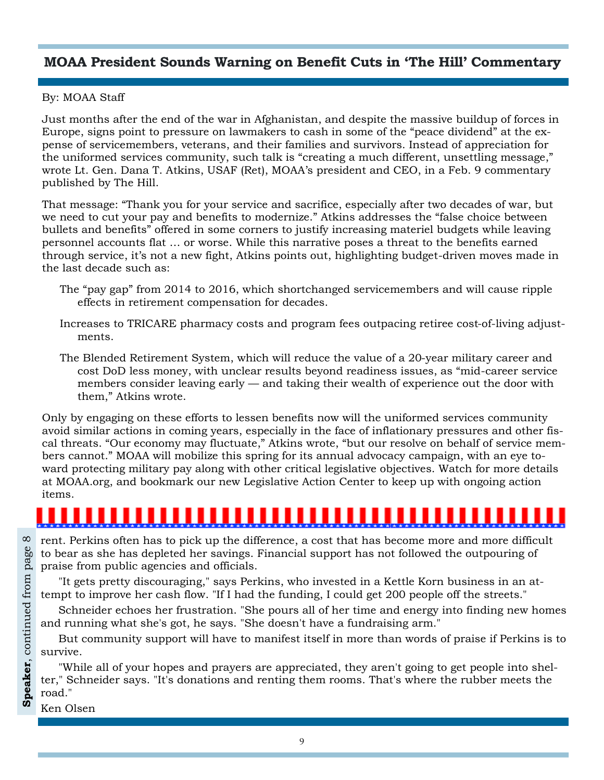### **MOAA President Sounds Warning on Benefit Cuts in 'The Hill' Commentary**

#### By: MOAA Staff

Just months after the end of the war in Afghanistan, and despite the massive buildup of forces in Europe, signs point to pressure on lawmakers to cash in some of the "peace dividend" at the expense of servicemembers, veterans, and their families and survivors. Instead of appreciation for the uniformed services community, such talk is "creating a much different, unsettling message," wrote Lt. Gen. Dana T. Atkins, USAF (Ret), MOAA's president and CEO, in a Feb. 9 commentary published by The Hill.

That message: "Thank you for your service and sacrifice, especially after two decades of war, but we need to cut your pay and benefits to modernize." Atkins addresses the "false choice between bullets and benefits" offered in some corners to justify increasing materiel budgets while leaving personnel accounts flat … or worse. While this narrative poses a threat to the benefits earned through service, it's not a new fight, Atkins points out, highlighting budget-driven moves made in the last decade such as:

- The "pay gap" from 2014 to 2016, which shortchanged servicemembers and will cause ripple effects in retirement compensation for decades.
- Increases to TRICARE pharmacy costs and program fees outpacing retiree cost-of-living adjustments.
- The Blended Retirement System, which will reduce the value of a 20-year military career and cost DoD less money, with unclear results beyond readiness issues, as "mid-career service members consider leaving early — and taking their wealth of experience out the door with them," Atkins wrote.

Only by engaging on these efforts to lessen benefits now will the uniformed services community avoid similar actions in coming years, especially in the face of inflationary pressures and other fiscal threats. "Our economy may fluctuate," Atkins wrote, "but our resolve on behalf of service members cannot." MOAA will mobilize this spring for its annual advocacy campaign, with an eye toward protecting military pay along with other critical legislative objectives. Watch for more details at MOAA.org, and bookmark our new Legislative Action Center to keep up with ongoing action items.

# 

rent. Perkins often has to pick up the difference, a cost that has become more and more difficult to bear as she has depleted her savings. Financial support has not followed the outpouring of praise from public agencies and officials.

"It gets pretty discouraging," says Perkins, who invested in a Kettle Korn business in an attempt to improve her cash flow. "If I had the funding, I could get 200 people off the streets."

Schneider echoes her frustration. "She pours all of her time and energy into finding new homes and running what she's got, he says. "She doesn't have a fundraising arm."

But community support will have to manifest itself in more than words of praise if Perkins is to survive.

"While all of your hopes and prayers are appreciated, they aren't going to get people into shelter," Schneider says. "It's donations and renting them rooms. That's where the rubber meets the road."

Ken Olsen